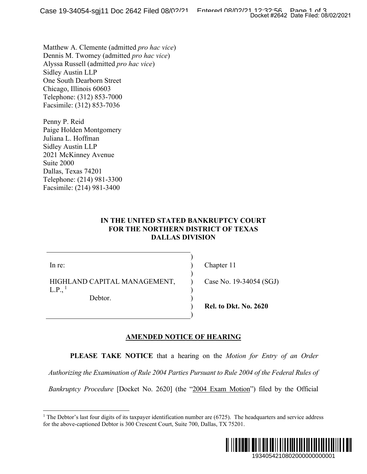Matthew A. Clemente (admitted *pro hac vice*) Dennis M. Twomey (admitted *pro hac vice*) Alyssa Russell (admitted *pro hac vice*) Sidley Austin LLP One South Dearborn Street Chicago, Illinois 60603 Telephone: (312) 853-7000 Facsimile: (312) 853-7036

Penny P. Reid Paige Holden Montgomery Juliana L. Hoffman Sidley Austin LLP 2021 McKinney Avenue Suite 2000 Dallas, Texas 74201 Telephone: (214) 981-3300 Facsimile: (214) 981-3400

### **IN THE UNITED STATED BANKRUPTCY COURT FOR THE NORTHERN DISTRICT OF TEXAS DALLAS DIVISION**

) ) )  $\lambda$ ) ) ) )

In re:

HIGHLAND CAPITAL MANAGEMENT,  $L.P.,<sup>1</sup>$ 

Debtor.

Chapter 11

Case No. 19-34054 (SGJ)

**Rel. to Dkt. No. 2620** 

## **AMENDED NOTICE OF HEARING**

**PLEASE TAKE NOTICE** that a hearing on the *Motion for Entry of an Order* 

*Authorizing the Examination of Rule 2004 Parties Pursuant to Rule 2004 of the Federal Rules of* 

*Bankruptcy Procedure* [Docket No. 2620] (the "2004 Exam Motion") filed by the Official

<sup>&</sup>lt;sup>1</sup> The Debtor's last four digits of its taxpayer identification number are  $(6725)$ . The headquarters and service address for the above-captioned Debtor is 300 Crescent Court, Suite 700, Dallas, TX 75201.

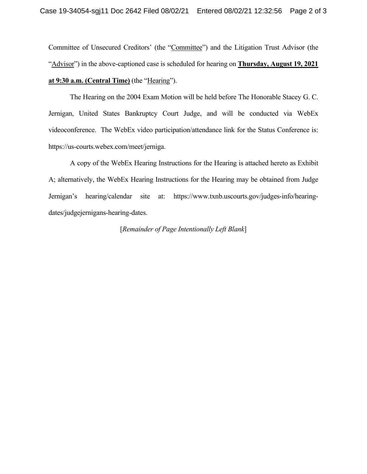Committee of Unsecured Creditors' (the "Committee") and the Litigation Trust Advisor (the "Advisor") in the above-captioned case is scheduled for hearing on **Thursday, August 19, 2021 at 9:30 a.m. (Central Time)** (the "Hearing").

The Hearing on the 2004 Exam Motion will be held before The Honorable Stacey G. C. Jernigan, United States Bankruptcy Court Judge, and will be conducted via WebEx videoconference. The WebEx video participation/attendance link for the Status Conference is: https://us-courts.webex.com/meet/jerniga.

A copy of the WebEx Hearing Instructions for the Hearing is attached hereto as Exhibit A; alternatively, the WebEx Hearing Instructions for the Hearing may be obtained from Judge Jernigan's hearing/calendar site at: https://www.txnb.uscourts.gov/judges-info/hearingdates/judgejernigans-hearing-dates.

### [*Remainder of Page Intentionally Left Blank*]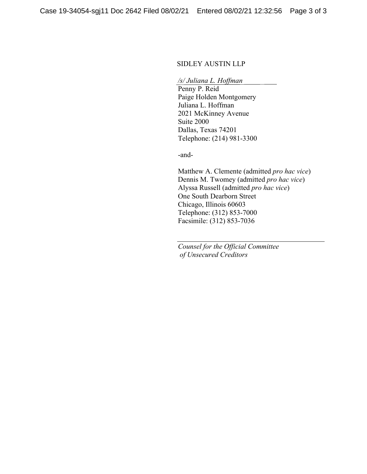### SIDLEY AUSTIN LLP

*/s/ Juliana L. Hoffman*  Penny P. Reid

Paige Holden Montgomery Juliana L. Hoffman 2021 McKinney Avenue Suite 2000 Dallas, Texas 74201 Telephone: (214) 981-3300

-and-

Matthew A. Clemente (admitted *pro hac vice*) Dennis M. Twomey (admitted *pro hac vice*) Alyssa Russell (admitted *pro hac vice*) One South Dearborn Street Chicago, Illinois 60603 Telephone: (312) 853-7000 Facsimile: (312) 853-7036

*Counsel for the Official Committee of Unsecured Creditors*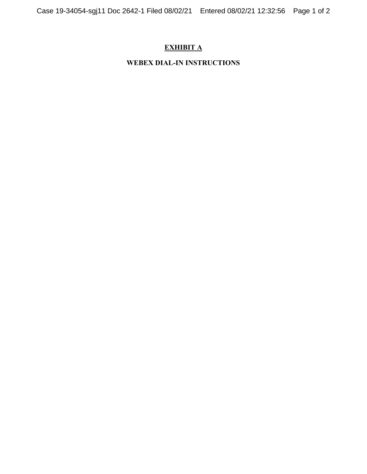# **EXHIBIT A**

# **WEBEX DIAL-IN INSTRUCTIONS**